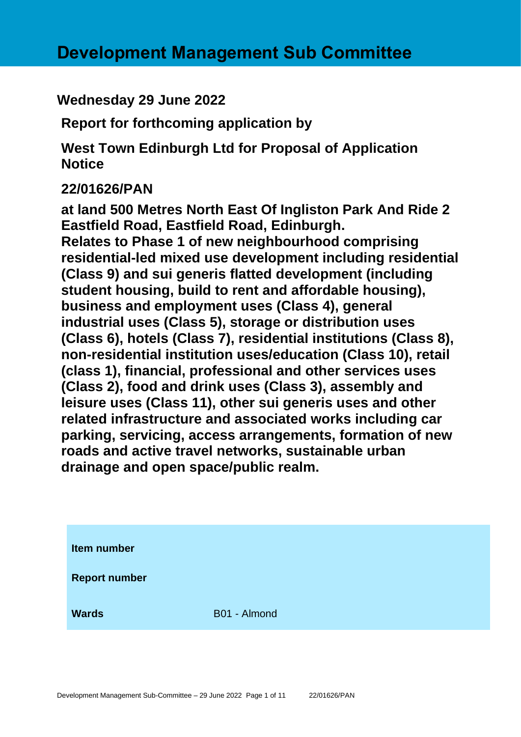# **Wednesday 29 June 2022**

**Report for forthcoming application by**

**West Town Edinburgh Ltd for Proposal of Application Notice** 

# **22/01626/PAN**

**at land 500 Metres North East Of Ingliston Park And Ride 2 Eastfield Road, Eastfield Road, Edinburgh. Relates to Phase 1 of new neighbourhood comprising residential-led mixed use development including residential (Class 9) and sui generis flatted development (including student housing, build to rent and affordable housing), business and employment uses (Class 4), general industrial uses (Class 5), storage or distribution uses (Class 6), hotels (Class 7), residential institutions (Class 8), non-residential institution uses/education (Class 10), retail (class 1), financial, professional and other services uses (Class 2), food and drink uses (Class 3), assembly and leisure uses (Class 11), other sui generis uses and other related infrastructure and associated works including car parking, servicing, access arrangements, formation of new roads and active travel networks, sustainable urban drainage and open space/public realm.**

| Item number          |              |
|----------------------|--------------|
| <b>Report number</b> |              |
| <b>Wards</b>         | B01 - Almond |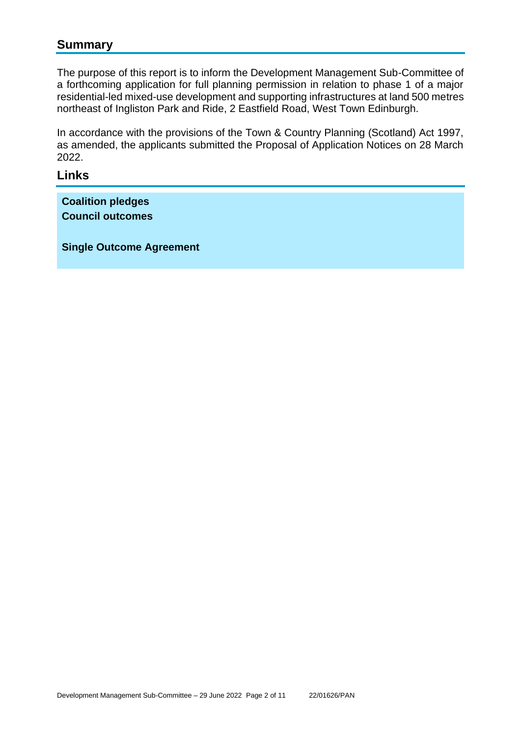### **Summary**

The purpose of this report is to inform the Development Management Sub-Committee of a forthcoming application for full planning permission in relation to phase 1 of a major residential-led mixed-use development and supporting infrastructures at land 500 metres northeast of Ingliston Park and Ride, 2 Eastfield Road, West Town Edinburgh.

In accordance with the provisions of the Town & Country Planning (Scotland) Act 1997, as amended, the applicants submitted the Proposal of Application Notices on 28 March 2022.

#### **Links**

**Coalition pledges Council outcomes**

**Single Outcome Agreement**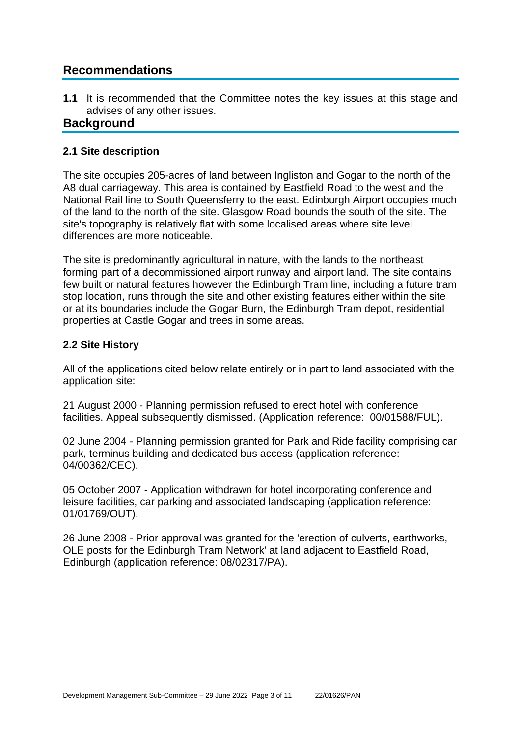# **Recommendations**

**1.1** It is recommended that the Committee notes the key issues at this stage and advises of any other issues.

### **Background**

#### **2.1 Site description**

The site occupies 205-acres of land between Ingliston and Gogar to the north of the A8 dual carriageway. This area is contained by Eastfield Road to the west and the National Rail line to South Queensferry to the east. Edinburgh Airport occupies much of the land to the north of the site. Glasgow Road bounds the south of the site. The site's topography is relatively flat with some localised areas where site level differences are more noticeable.

The site is predominantly agricultural in nature, with the lands to the northeast forming part of a decommissioned airport runway and airport land. The site contains few built or natural features however the Edinburgh Tram line, including a future tram stop location, runs through the site and other existing features either within the site or at its boundaries include the Gogar Burn, the Edinburgh Tram depot, residential properties at Castle Gogar and trees in some areas.

#### **2.2 Site History**

All of the applications cited below relate entirely or in part to land associated with the application site:

21 August 2000 - Planning permission refused to erect hotel with conference facilities. Appeal subsequently dismissed. (Application reference: 00/01588/FUL).

02 June 2004 - Planning permission granted for Park and Ride facility comprising car park, terminus building and dedicated bus access (application reference: 04/00362/CEC).

05 October 2007 - Application withdrawn for hotel incorporating conference and leisure facilities, car parking and associated landscaping (application reference: 01/01769/OUT).

26 June 2008 - Prior approval was granted for the 'erection of culverts, earthworks, OLE posts for the Edinburgh Tram Network' at land adjacent to Eastfield Road, Edinburgh (application reference: 08/02317/PA).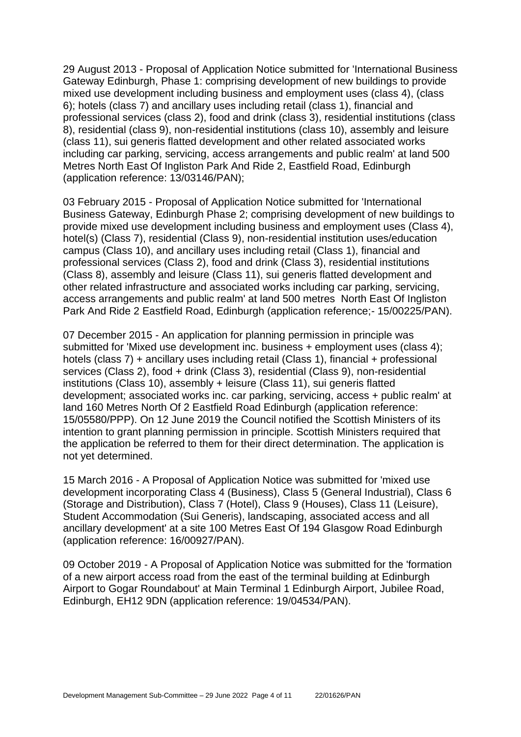29 August 2013 - Proposal of Application Notice submitted for 'International Business Gateway Edinburgh, Phase 1: comprising development of new buildings to provide mixed use development including business and employment uses (class 4), (class 6); hotels (class 7) and ancillary uses including retail (class 1), financial and professional services (class 2), food and drink (class 3), residential institutions (class 8), residential (class 9), non-residential institutions (class 10), assembly and leisure (class 11), sui generis flatted development and other related associated works including car parking, servicing, access arrangements and public realm' at land 500 Metres North East Of Ingliston Park And Ride 2, Eastfield Road, Edinburgh (application reference: 13/03146/PAN);

03 February 2015 - Proposal of Application Notice submitted for 'International Business Gateway, Edinburgh Phase 2; comprising development of new buildings to provide mixed use development including business and employment uses (Class 4), hotel(s) (Class 7), residential (Class 9), non-residential institution uses/education campus (Class 10), and ancillary uses including retail (Class 1), financial and professional services (Class 2), food and drink (Class 3), residential institutions (Class 8), assembly and leisure (Class 11), sui generis flatted development and other related infrastructure and associated works including car parking, servicing, access arrangements and public realm' at land 500 metres North East Of Ingliston Park And Ride 2 Eastfield Road, Edinburgh (application reference;- 15/00225/PAN).

07 December 2015 - An application for planning permission in principle was submitted for 'Mixed use development inc. business + employment uses (class 4); hotels (class 7) + ancillary uses including retail (Class 1), financial + professional services (Class 2), food + drink (Class 3), residential (Class 9), non-residential institutions (Class 10), assembly + leisure (Class 11), sui generis flatted development; associated works inc. car parking, servicing, access + public realm' at land 160 Metres North Of 2 Eastfield Road Edinburgh (application reference: 15/05580/PPP). On 12 June 2019 the Council notified the Scottish Ministers of its intention to grant planning permission in principle. Scottish Ministers required that the application be referred to them for their direct determination. The application is not yet determined.

15 March 2016 - A Proposal of Application Notice was submitted for 'mixed use development incorporating Class 4 (Business), Class 5 (General Industrial), Class 6 (Storage and Distribution), Class 7 (Hotel), Class 9 (Houses), Class 11 (Leisure), Student Accommodation (Sui Generis), landscaping, associated access and all ancillary development' at a site 100 Metres East Of 194 Glasgow Road Edinburgh (application reference: 16/00927/PAN).

09 October 2019 - A Proposal of Application Notice was submitted for the 'formation of a new airport access road from the east of the terminal building at Edinburgh Airport to Gogar Roundabout' at Main Terminal 1 Edinburgh Airport, Jubilee Road, Edinburgh, EH12 9DN (application reference: 19/04534/PAN).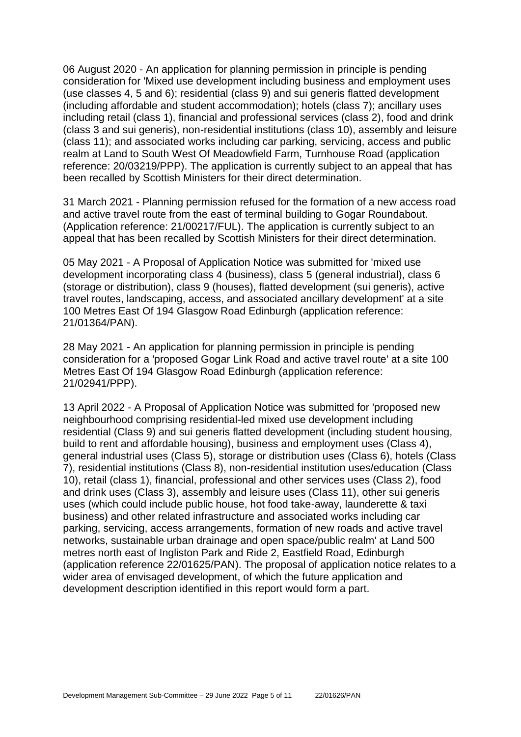06 August 2020 - An application for planning permission in principle is pending consideration for 'Mixed use development including business and employment uses (use classes 4, 5 and 6); residential (class 9) and sui generis flatted development (including affordable and student accommodation); hotels (class 7); ancillary uses including retail (class 1), financial and professional services (class 2), food and drink (class 3 and sui generis), non-residential institutions (class 10), assembly and leisure (class 11); and associated works including car parking, servicing, access and public realm at Land to South West Of Meadowfield Farm, Turnhouse Road (application reference: 20/03219/PPP). The application is currently subject to an appeal that has been recalled by Scottish Ministers for their direct determination.

31 March 2021 - Planning permission refused for the formation of a new access road and active travel route from the east of terminal building to Gogar Roundabout. (Application reference: 21/00217/FUL). The application is currently subject to an appeal that has been recalled by Scottish Ministers for their direct determination.

05 May 2021 - A Proposal of Application Notice was submitted for 'mixed use development incorporating class 4 (business), class 5 (general industrial), class 6 (storage or distribution), class 9 (houses), flatted development (sui generis), active travel routes, landscaping, access, and associated ancillary development' at a site 100 Metres East Of 194 Glasgow Road Edinburgh (application reference: 21/01364/PAN).

28 May 2021 - An application for planning permission in principle is pending consideration for a 'proposed Gogar Link Road and active travel route' at a site 100 Metres East Of 194 Glasgow Road Edinburgh (application reference: 21/02941/PPP).

13 April 2022 - A Proposal of Application Notice was submitted for 'proposed new neighbourhood comprising residential-led mixed use development including residential (Class 9) and sui generis flatted development (including student housing, build to rent and affordable housing), business and employment uses (Class 4), general industrial uses (Class 5), storage or distribution uses (Class 6), hotels (Class 7), residential institutions (Class 8), non-residential institution uses/education (Class 10), retail (class 1), financial, professional and other services uses (Class 2), food and drink uses (Class 3), assembly and leisure uses (Class 11), other sui generis uses (which could include public house, hot food take-away, launderette & taxi business) and other related infrastructure and associated works including car parking, servicing, access arrangements, formation of new roads and active travel networks, sustainable urban drainage and open space/public realm' at Land 500 metres north east of Ingliston Park and Ride 2, Eastfield Road, Edinburgh (application reference 22/01625/PAN). The proposal of application notice relates to a wider area of envisaged development, of which the future application and development description identified in this report would form a part.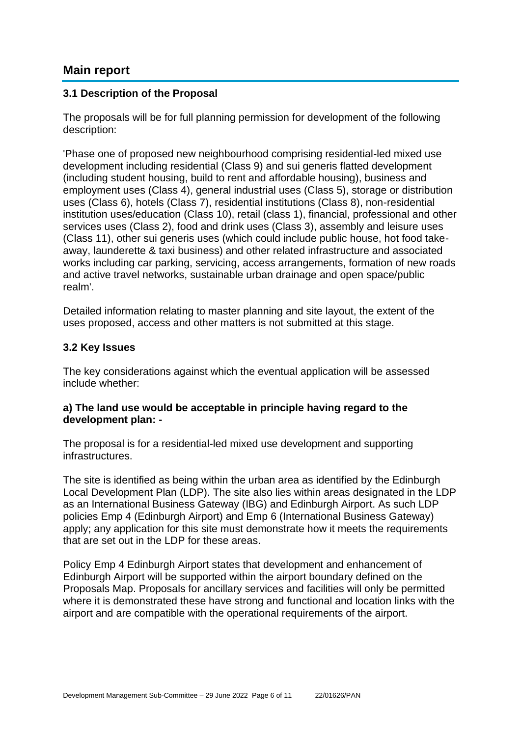## **Main report**

#### **3.1 Description of the Proposal**

The proposals will be for full planning permission for development of the following description:

'Phase one of proposed new neighbourhood comprising residential-led mixed use development including residential (Class 9) and sui generis flatted development (including student housing, build to rent and affordable housing), business and employment uses (Class 4), general industrial uses (Class 5), storage or distribution uses (Class 6), hotels (Class 7), residential institutions (Class 8), non-residential institution uses/education (Class 10), retail (class 1), financial, professional and other services uses (Class 2), food and drink uses (Class 3), assembly and leisure uses (Class 11), other sui generis uses (which could include public house, hot food takeaway, launderette & taxi business) and other related infrastructure and associated works including car parking, servicing, access arrangements, formation of new roads and active travel networks, sustainable urban drainage and open space/public realm'.

Detailed information relating to master planning and site layout, the extent of the uses proposed, access and other matters is not submitted at this stage.

#### **3.2 Key Issues**

The key considerations against which the eventual application will be assessed include whether:

#### **a) The land use would be acceptable in principle having regard to the development plan: -**

The proposal is for a residential-led mixed use development and supporting infrastructures.

The site is identified as being within the urban area as identified by the Edinburgh Local Development Plan (LDP). The site also lies within areas designated in the LDP as an International Business Gateway (IBG) and Edinburgh Airport. As such LDP policies Emp 4 (Edinburgh Airport) and Emp 6 (International Business Gateway) apply; any application for this site must demonstrate how it meets the requirements that are set out in the LDP for these areas.

Policy Emp 4 Edinburgh Airport states that development and enhancement of Edinburgh Airport will be supported within the airport boundary defined on the Proposals Map. Proposals for ancillary services and facilities will only be permitted where it is demonstrated these have strong and functional and location links with the airport and are compatible with the operational requirements of the airport.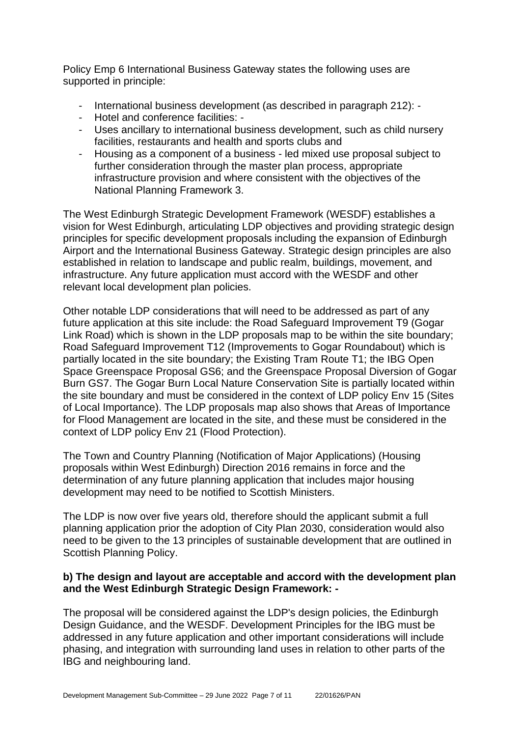Policy Emp 6 International Business Gateway states the following uses are supported in principle:

- International business development (as described in paragraph 212): -
- Hotel and conference facilities: -
- Uses ancillary to international business development, such as child nursery facilities, restaurants and health and sports clubs and
- Housing as a component of a business led mixed use proposal subject to further consideration through the master plan process, appropriate infrastructure provision and where consistent with the objectives of the National Planning Framework 3.

The West Edinburgh Strategic Development Framework (WESDF) establishes a vision for West Edinburgh, articulating LDP objectives and providing strategic design principles for specific development proposals including the expansion of Edinburgh Airport and the International Business Gateway. Strategic design principles are also established in relation to landscape and public realm, buildings, movement, and infrastructure. Any future application must accord with the WESDF and other relevant local development plan policies.

Other notable LDP considerations that will need to be addressed as part of any future application at this site include: the Road Safeguard Improvement T9 (Gogar Link Road) which is shown in the LDP proposals map to be within the site boundary; Road Safeguard Improvement T12 (Improvements to Gogar Roundabout) which is partially located in the site boundary; the Existing Tram Route T1; the IBG Open Space Greenspace Proposal GS6; and the Greenspace Proposal Diversion of Gogar Burn GS7. The Gogar Burn Local Nature Conservation Site is partially located within the site boundary and must be considered in the context of LDP policy Env 15 (Sites of Local Importance). The LDP proposals map also shows that Areas of Importance for Flood Management are located in the site, and these must be considered in the context of LDP policy Env 21 (Flood Protection).

The Town and Country Planning (Notification of Major Applications) (Housing proposals within West Edinburgh) Direction 2016 remains in force and the determination of any future planning application that includes major housing development may need to be notified to Scottish Ministers.

The LDP is now over five years old, therefore should the applicant submit a full planning application prior the adoption of City Plan 2030, consideration would also need to be given to the 13 principles of sustainable development that are outlined in Scottish Planning Policy.

#### **b) The design and layout are acceptable and accord with the development plan and the West Edinburgh Strategic Design Framework: -**

The proposal will be considered against the LDP's design policies, the Edinburgh Design Guidance, and the WESDF. Development Principles for the IBG must be addressed in any future application and other important considerations will include phasing, and integration with surrounding land uses in relation to other parts of the IBG and neighbouring land.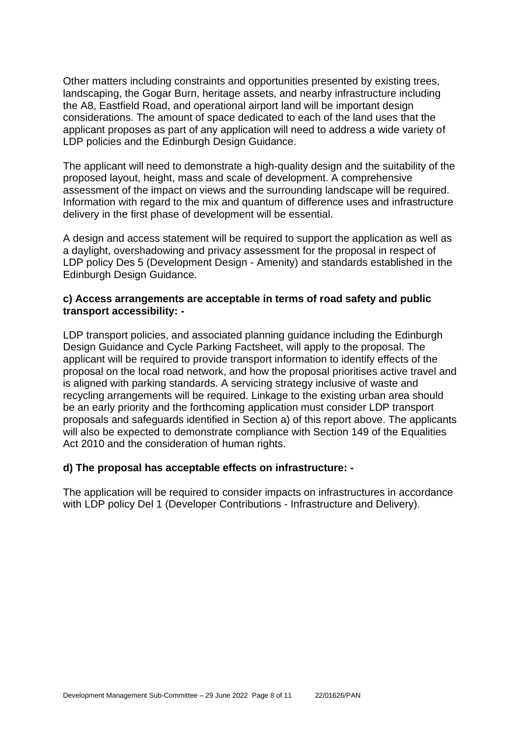Other matters including constraints and opportunities presented by existing trees, landscaping, the Gogar Burn, heritage assets, and nearby infrastructure including the A8, Eastfield Road, and operational airport land will be important design considerations. The amount of space dedicated to each of the land uses that the applicant proposes as part of any application will need to address a wide variety of LDP policies and the Edinburgh Design Guidance.

The applicant will need to demonstrate a high-quality design and the suitability of the proposed layout, height, mass and scale of development. A comprehensive assessment of the impact on views and the surrounding landscape will be required. Information with regard to the mix and quantum of difference uses and infrastructure delivery in the first phase of development will be essential.

A design and access statement will be required to support the application as well as a daylight, overshadowing and privacy assessment for the proposal in respect of LDP policy Des 5 (Development Design - Amenity) and standards established in the Edinburgh Design Guidance.

#### **c) Access arrangements are acceptable in terms of road safety and public transport accessibility: -**

LDP transport policies, and associated planning guidance including the Edinburgh Design Guidance and Cycle Parking Factsheet, will apply to the proposal. The applicant will be required to provide transport information to identify effects of the proposal on the local road network, and how the proposal prioritises active travel and is aligned with parking standards. A servicing strategy inclusive of waste and recycling arrangements will be required. Linkage to the existing urban area should be an early priority and the forthcoming application must consider LDP transport proposals and safeguards identified in Section a) of this report above. The applicants will also be expected to demonstrate compliance with Section 149 of the Equalities Act 2010 and the consideration of human rights.

#### **d) The proposal has acceptable effects on infrastructure: -**

The application will be required to consider impacts on infrastructures in accordance with LDP policy Del 1 (Developer Contributions - Infrastructure and Delivery).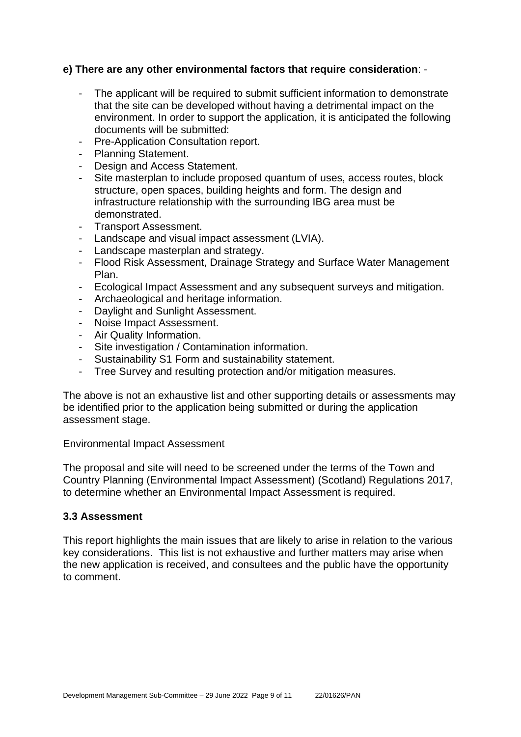#### **e) There are any other environmental factors that require consideration**: -

- The applicant will be required to submit sufficient information to demonstrate that the site can be developed without having a detrimental impact on the environment. In order to support the application, it is anticipated the following documents will be submitted:
- Pre-Application Consultation report.
- Planning Statement.
- Design and Access Statement.
- Site masterplan to include proposed quantum of uses, access routes, block structure, open spaces, building heights and form. The design and infrastructure relationship with the surrounding IBG area must be demonstrated.
- Transport Assessment.
- Landscape and visual impact assessment (LVIA).
- Landscape masterplan and strategy.
- Flood Risk Assessment, Drainage Strategy and Surface Water Management Plan.
- Ecological Impact Assessment and any subsequent surveys and mitigation.
- Archaeological and heritage information.
- Daylight and Sunlight Assessment.
- Noise Impact Assessment.
- Air Quality Information.
- Site investigation / Contamination information.
- Sustainability S1 Form and sustainability statement.
- Tree Survey and resulting protection and/or mitigation measures.

The above is not an exhaustive list and other supporting details or assessments may be identified prior to the application being submitted or during the application assessment stage.

Environmental Impact Assessment

The proposal and site will need to be screened under the terms of the Town and Country Planning (Environmental Impact Assessment) (Scotland) Regulations 2017, to determine whether an Environmental Impact Assessment is required.

#### **3.3 Assessment**

This report highlights the main issues that are likely to arise in relation to the various key considerations. This list is not exhaustive and further matters may arise when the new application is received, and consultees and the public have the opportunity to comment.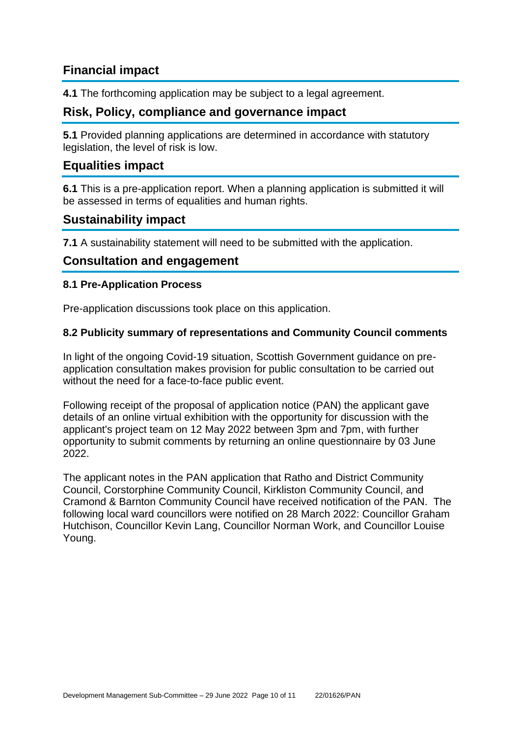# **Financial impact**

**4.1** The forthcoming application may be subject to a legal agreement.

## **Risk, Policy, compliance and governance impact**

**5.1** Provided planning applications are determined in accordance with statutory legislation, the level of risk is low.

### **Equalities impact**

**6.1** This is a pre-application report. When a planning application is submitted it will be assessed in terms of equalities and human rights.

### **Sustainability impact**

**7.1** A sustainability statement will need to be submitted with the application.

### **Consultation and engagement**

#### **8.1 Pre-Application Process**

Pre-application discussions took place on this application.

#### **8.2 Publicity summary of representations and Community Council comments**

In light of the ongoing Covid-19 situation, Scottish Government guidance on preapplication consultation makes provision for public consultation to be carried out without the need for a face-to-face public event.

Following receipt of the proposal of application notice (PAN) the applicant gave details of an online virtual exhibition with the opportunity for discussion with the applicant's project team on 12 May 2022 between 3pm and 7pm, with further opportunity to submit comments by returning an online questionnaire by 03 June 2022.

The applicant notes in the PAN application that Ratho and District Community Council, Corstorphine Community Council, Kirkliston Community Council, and Cramond & Barnton Community Council have received notification of the PAN. The following local ward councillors were notified on 28 March 2022: Councillor Graham Hutchison, Councillor Kevin Lang, Councillor Norman Work, and Councillor Louise Young.